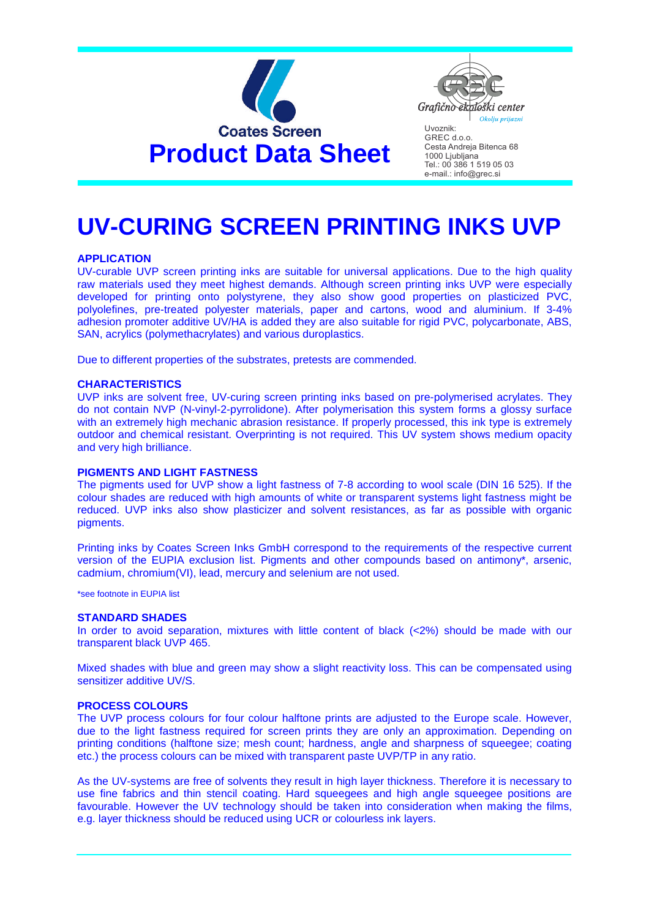



GREC d.o.o. Cesta Andreja Bitenca 68 1000 Ljubljana Tel.: 00 386 1 519 05 03 e-mail.: info@grec.si

# **UV-CURING SCREEN PRINTING INKS UVP**

# **APPLICATION**

UV-curable UVP screen printing inks are suitable for universal applications. Due to the high quality raw materials used they meet highest demands. Although screen printing inks UVP were especially developed for printing onto polystyrene, they also show good properties on plasticized PVC, polyolefines, pre-treated polyester materials, paper and cartons, wood and aluminium. If 3-4% adhesion promoter additive UV/HA is added they are also suitable for rigid PVC, polycarbonate, ABS, SAN, acrylics (polymethacrylates) and various duroplastics.

Due to different properties of the substrates, pretests are commended.

#### **CHARACTERISTICS**

UVP inks are solvent free, UV-curing screen printing inks based on pre-polymerised acrylates. They do not contain NVP (N-vinyl-2-pyrrolidone). After polymerisation this system forms a glossy surface with an extremely high mechanic abrasion resistance. If properly processed, this ink type is extremely outdoor and chemical resistant. Overprinting is not required. This UV system shows medium opacity and very high brilliance.

## **PIGMENTS AND LIGHT FASTNESS**

The pigments used for UVP show a light fastness of 7-8 according to wool scale (DIN 16 525). If the colour shades are reduced with high amounts of white or transparent systems light fastness might be reduced. UVP inks also show plasticizer and solvent resistances, as far as possible with organic pigments.

Printing inks by Coates Screen Inks GmbH correspond to the requirements of the respective current version of the EUPIA exclusion list. Pigments and other compounds based on antimony\*, arsenic, cadmium, chromium(VI), lead, mercury and selenium are not used.

\*see footnote in EUPIA list

#### **STANDARD SHADES**

In order to avoid separation, mixtures with little content of black (<2%) should be made with our transparent black UVP 465.

Mixed shades with blue and green may show a slight reactivity loss. This can be compensated using sensitizer additive UV/S.

#### **PROCESS COLOURS**

The UVP process colours for four colour halftone prints are adjusted to the Europe scale. However, due to the light fastness required for screen prints they are only an approximation. Depending on printing conditions (halftone size; mesh count; hardness, angle and sharpness of squeegee; coating etc.) the process colours can be mixed with transparent paste UVP/TP in any ratio.

As the UV-systems are free of solvents they result in high layer thickness. Therefore it is necessary to use fine fabrics and thin stencil coating. Hard squeegees and high angle squeegee positions are favourable. However the UV technology should be taken into consideration when making the films, e.g. layer thickness should be reduced using UCR or colourless ink layers.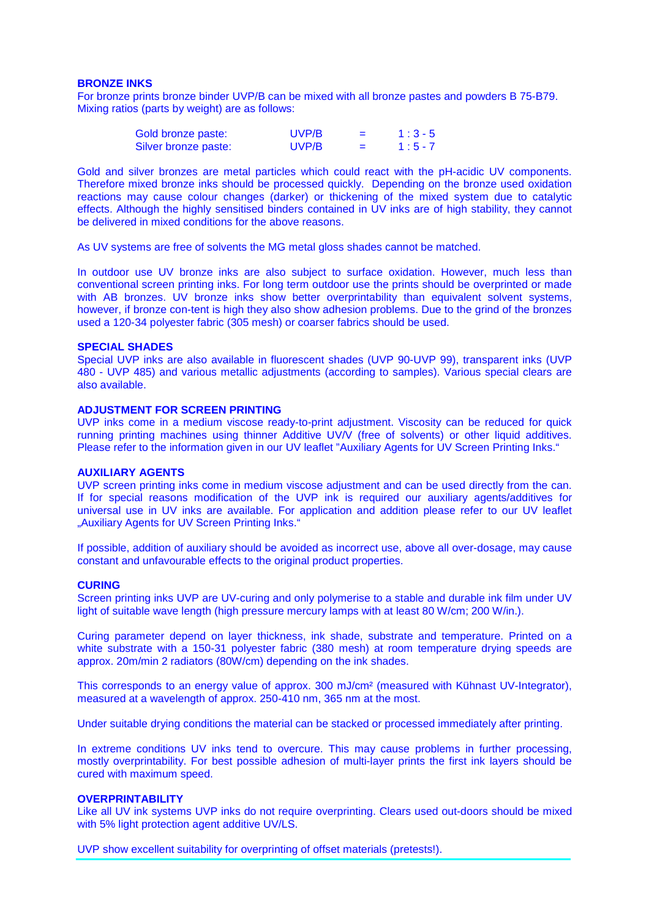## **BRONZE INKS**

For bronze prints bronze binder UVP/B can be mixed with all bronze pastes and powders B 75-B79. Mixing ratios (parts by weight) are as follows:

| Gold bronze paste:   | UVP/B | $=$ | $1:3-5$   |
|----------------------|-------|-----|-----------|
| Silver bronze paste: | UVP/B | $=$ | $1:5 - 7$ |

Gold and silver bronzes are metal particles which could react with the pH-acidic UV components. Therefore mixed bronze inks should be processed quickly. Depending on the bronze used oxidation reactions may cause colour changes (darker) or thickening of the mixed system due to catalytic effects. Although the highly sensitised binders contained in UV inks are of high stability, they cannot be delivered in mixed conditions for the above reasons.

As UV systems are free of solvents the MG metal gloss shades cannot be matched.

In outdoor use UV bronze inks are also subject to surface oxidation. However, much less than conventional screen printing inks. For long term outdoor use the prints should be overprinted or made with AB bronzes. UV bronze inks show better overprintability than equivalent solvent systems, however, if bronze con-tent is high they also show adhesion problems. Due to the grind of the bronzes used a 120-34 polyester fabric (305 mesh) or coarser fabrics should be used.

#### **SPECIAL SHADES**

Special UVP inks are also available in fluorescent shades (UVP 90-UVP 99), transparent inks (UVP 480 - UVP 485) and various metallic adjustments (according to samples). Various special clears are also available.

#### **ADJUSTMENT FOR SCREEN PRINTING**

UVP inks come in a medium viscose ready-to-print adjustment. Viscosity can be reduced for quick running printing machines using thinner Additive UV/V (free of solvents) or other liquid additives. Please refer to the information given in our UV leaflet "Auxiliary Agents for UV Screen Printing Inks."

## **AUXILIARY AGENTS**

UVP screen printing inks come in medium viscose adjustment and can be used directly from the can. If for special reasons modification of the UVP ink is required our auxiliary agents/additives for universal use in UV inks are available. For application and addition please refer to our UV leaflet "Auxiliary Agents for UV Screen Printing Inks."

If possible, addition of auxiliary should be avoided as incorrect use, above all over-dosage, may cause constant and unfavourable effects to the original product properties.

#### **CURING**

Screen printing inks UVP are UV-curing and only polymerise to a stable and durable ink film under UV light of suitable wave length (high pressure mercury lamps with at least 80 W/cm; 200 W/in.).

Curing parameter depend on layer thickness, ink shade, substrate and temperature. Printed on a white substrate with a 150-31 polyester fabric (380 mesh) at room temperature drying speeds are approx. 20m/min 2 radiators (80W/cm) depending on the ink shades.

This corresponds to an energy value of approx. 300 mJ/cm² (measured with Kühnast UV-Integrator), measured at a wavelength of approx. 250-410 nm, 365 nm at the most.

Under suitable drying conditions the material can be stacked or processed immediately after printing.

In extreme conditions UV inks tend to overcure. This may cause problems in further processing, mostly overprintability. For best possible adhesion of multi-layer prints the first ink layers should be cured with maximum speed.

#### **OVERPRINTABILITY**

Like all UV ink systems UVP inks do not require overprinting. Clears used out-doors should be mixed with 5% light protection agent additive UV/LS.

UVP show excellent suitability for overprinting of offset materials (pretests!).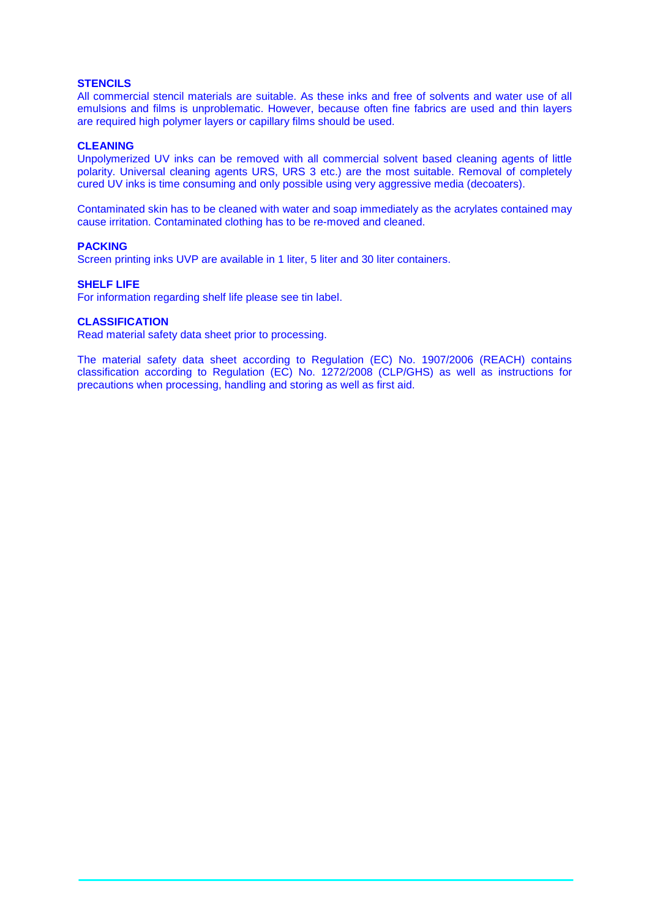# **STENCILS**

All commercial stencil materials are suitable. As these inks and free of solvents and water use of all emulsions and films is unproblematic. However, because often fine fabrics are used and thin layers are required high polymer layers or capillary films should be used.

## **CLEANING**

Unpolymerized UV inks can be removed with all commercial solvent based cleaning agents of little polarity. Universal cleaning agents URS, URS 3 etc.) are the most suitable. Removal of completely cured UV inks is time consuming and only possible using very aggressive media (decoaters).

Contaminated skin has to be cleaned with water and soap immediately as the acrylates contained may cause irritation. Contaminated clothing has to be re-moved and cleaned.

## **PACKING**

Screen printing inks UVP are available in 1 liter, 5 liter and 30 liter containers.

## **SHELF LIFE**

For information regarding shelf life please see tin label.

## **CLASSIFICATION**

Read material safety data sheet prior to processing.

The material safety data sheet according to Regulation (EC) No. 1907/2006 (REACH) contains classification according to Regulation (EC) No. 1272/2008 (CLP/GHS) as well as instructions for precautions when processing, handling and storing as well as first aid.